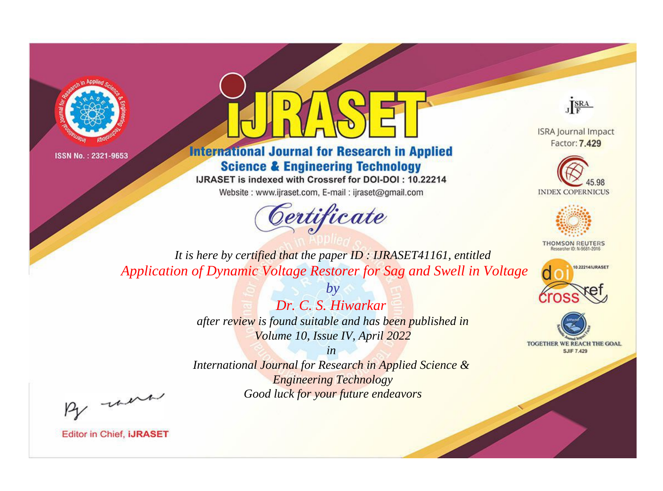



**International Journal for Research in Applied Science & Engineering Technology** 

IJRASET is indexed with Crossref for DOI-DOI: 10.22214

Website: www.ijraset.com, E-mail: ijraset@gmail.com



JERA

**ISRA Journal Impact** Factor: 7.429





**THOMSON REUTERS** 



TOGETHER WE REACH THE GOAL **SJIF 7.429** 

*It is here by certified that the paper ID : IJRASET41161, entitled Application of Dynamic Voltage Restorer for Sag and Swell in Voltage*

> *Dr. C. S. Hiwarkar after review is found suitable and has been published in Volume 10, Issue IV, April 2022*

*by*

*in* 

*International Journal for Research in Applied Science & Engineering Technology Good luck for your future endeavors*

By morn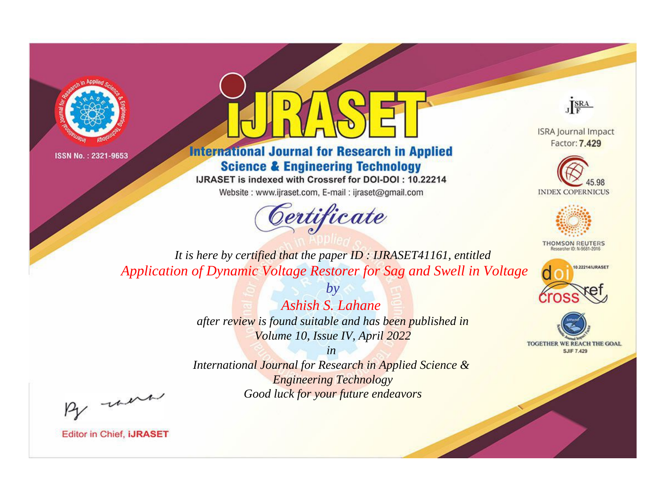



**International Journal for Research in Applied Science & Engineering Technology** 

IJRASET is indexed with Crossref for DOI-DOI: 10.22214

Website: www.ijraset.com, E-mail: ijraset@gmail.com



JERA

**ISRA Journal Impact** Factor: 7.429





**THOMSON REUTERS** 



TOGETHER WE REACH THE GOAL **SJIF 7.429** 

*It is here by certified that the paper ID : IJRASET41161, entitled Application of Dynamic Voltage Restorer for Sag and Swell in Voltage*

> *Ashish S. Lahane after review is found suitable and has been published in Volume 10, Issue IV, April 2022*

*by*

*in* 

*International Journal for Research in Applied Science & Engineering Technology Good luck for your future endeavors*

By morn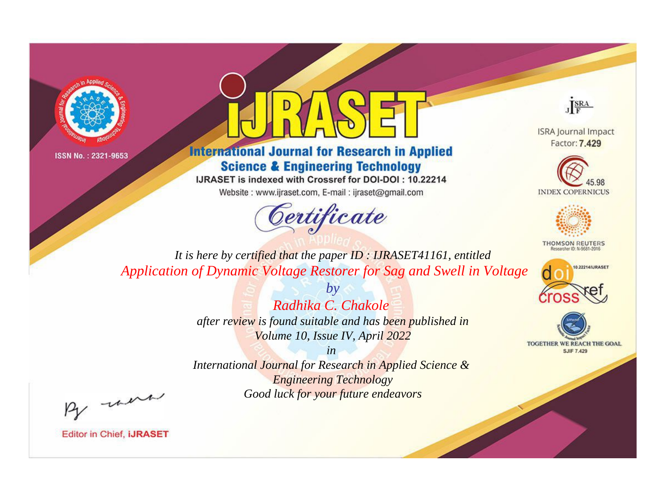



**International Journal for Research in Applied Science & Engineering Technology** 

IJRASET is indexed with Crossref for DOI-DOI: 10.22214

Website: www.ijraset.com, E-mail: ijraset@gmail.com



JERA

**ISRA Journal Impact** Factor: 7.429





**THOMSON REUTERS** 



TOGETHER WE REACH THE GOAL **SJIF 7.429** 

It is here by certified that the paper ID: IJRASET41161, entitled Application of Dynamic Voltage Restorer for Sag and Swell in Voltage

> Radhika C. Chakole after review is found suitable and has been published in Volume 10, Issue IV, April 2022

 $h\nu$ 

 $in$ International Journal for Research in Applied Science & **Engineering Technology** Good luck for your future endeavors

By morn